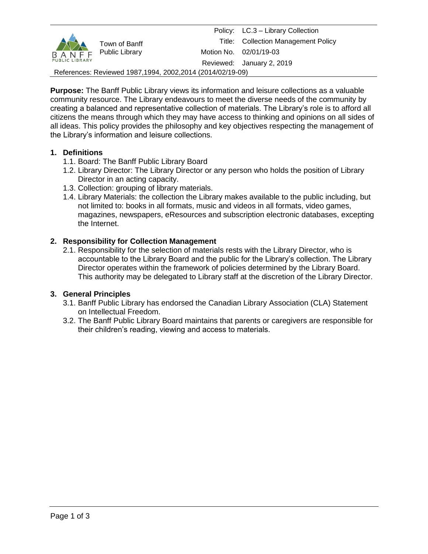| Town of Banff<br>B A N F F Public Library<br><b>PUBLIC LIBRARY</b> |  |  | Policy: LC.3 - Library Collection   |  |  |  |  |  |
|--------------------------------------------------------------------|--|--|-------------------------------------|--|--|--|--|--|
|                                                                    |  |  | Title: Collection Management Policy |  |  |  |  |  |
|                                                                    |  |  | Motion No. 02/01/19-03              |  |  |  |  |  |
|                                                                    |  |  | Reviewed: January 2, 2019           |  |  |  |  |  |
| References: Reviewed 1987, 1994, 2002, 2014 (2014/02/19-09)        |  |  |                                     |  |  |  |  |  |

**Purpose:** The Banff Public Library views its information and leisure collections as a valuable community resource. The Library endeavours to meet the diverse needs of the community by creating a balanced and representative collection of materials. The Library's role is to afford all citizens the means through which they may have access to thinking and opinions on all sides of all ideas. This policy provides the philosophy and key objectives respecting the management of the Library's information and leisure collections.

## **1. Definitions**

- 1.1. Board: The Banff Public Library Board
- 1.2. Library Director: The Library Director or any person who holds the position of Library Director in an acting capacity.
- 1.3. Collection: grouping of library materials.
- 1.4. Library Materials: the collection the Library makes available to the public including, but not limited to: books in all formats, music and videos in all formats, video games, magazines, newspapers, eResources and subscription electronic databases, excepting the Internet.

## **2. Responsibility for Collection Management**

2.1. Responsibility for the selection of materials rests with the Library Director, who is accountable to the Library Board and the public for the Library's collection. The Library Director operates within the framework of policies determined by the Library Board. This authority may be delegated to Library staff at the discretion of the Library Director.

#### **3. General Principles**

- 3.1. Banff Public Library has endorsed the Canadian Library Association (CLA) Statement on Intellectual Freedom.
- 3.2. The Banff Public Library Board maintains that parents or caregivers are responsible for their children's reading, viewing and access to materials.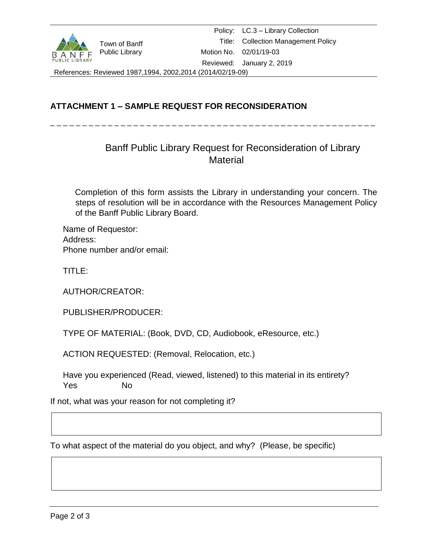

Policy: LC.3 – Library Collection Title: Collection Management Policy Motion No. 02/01/19-03 Reviewed: January 2, 2019

References: Reviewed 1987,1994, 2002,2014 (2014/02/19-09)

# **ATTACHMENT 1 – SAMPLE REQUEST FOR RECONSIDERATION**

\_ \_ \_ \_ \_ \_ \_ \_ \_ \_ \_ \_ \_ \_ \_ \_ \_ \_ \_ \_ \_ \_ \_ \_ \_ \_ \_ \_ \_ \_ \_ \_ \_ \_ \_ \_ \_ \_ \_ \_ \_ \_ \_ \_ \_ \_ \_ \_ \_ \_ \_

# Banff Public Library Request for Reconsideration of Library **Material**

Completion of this form assists the Library in understanding your concern. The steps of resolution will be in accordance with the Resources Management Policy of the Banff Public Library Board.

Name of Requestor: Address: Phone number and/or email:

TITLE:

AUTHOR/CREATOR:

PUBLISHER/PRODUCER:

TYPE OF MATERIAL: (Book, DVD, CD, Audiobook, eResource, etc.)

ACTION REQUESTED: (Removal, Relocation, etc.)

Have you experienced (Read, viewed, listened) to this material in its entirety? Yes No

If not, what was your reason for not completing it?

To what aspect of the material do you object, and why? (Please, be specific)